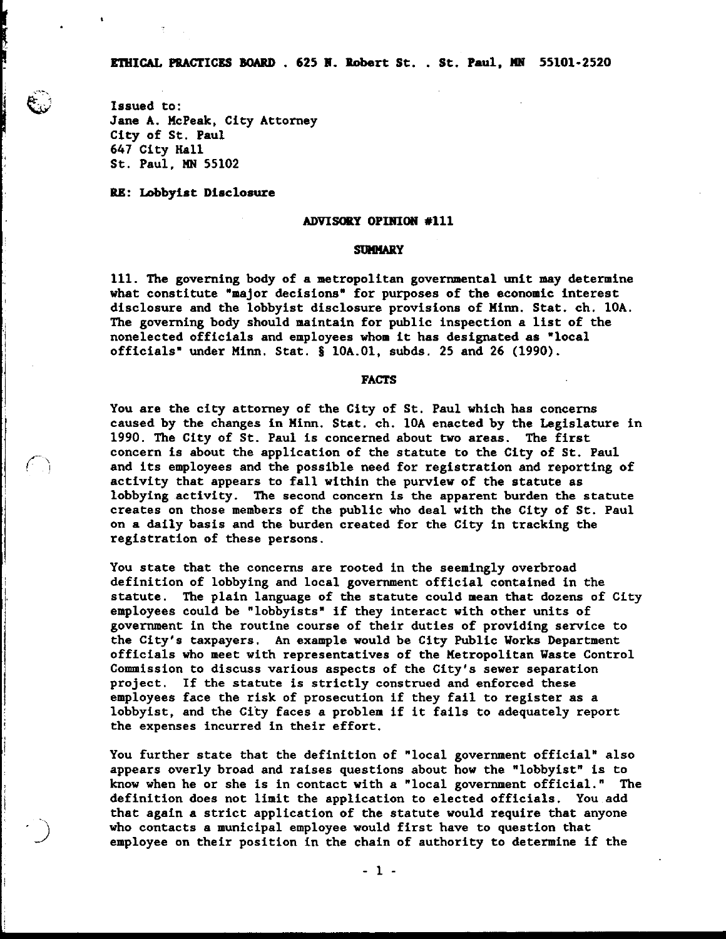**Issued to: Jane A. McPeak, City Attorney City of St. Paul 647 City Hall St. Paul, BIN 55102** 

**BB: Lobbyist Disclosure** 

## ADVISORY OPINION #111

# **SUMMARY**

**111. The governing body of a metropolitan governmental unit may determine what constitute "major decisions" for purposes of the economic interest disclosure and the lobbyist disclosure provisions of Minn. Stat. ch. 10A. The governing body should maintain for public inspection a list of the nonelected officials and employees whom it has designated as \*local officials' under Minn. Stat.** \$ **10A.O1, subds. 25 and 26 (1990).** 

# **FACTS**

**You are the city attorney of the City of St. Paul which has concerns caused by the changes in Minn. Stat. ch. 10A enacted by the Legislature in 1990. The City of St. Paul is concerned about two areas. The first**  concern is about the application of the statute to the City of St. Paul<br>and its employees and the possible need for registration and reporting of **and its employees and the possible need for registration and reporting of activity that appears to fall within the purview of the statute as lobbying activity. The second concern is the apparent burden the statute creates on those members of the public who deal with the City of St. Paul on a daily basis and the burden created for the City in tracking the registration of these persons.** 

> **You state that the concerns are rooted in the seemingly overbroad definition of lobbying and local government official contained in the statute. The plain language of the statute could mean that dozens of City**  employees could be "lobbyists" if they interact with other units of **government in the routine course of their duties of providing service to the City's taxpayers. An example would be City Public Works Department officials who meet with representatives of the Metropolitan Waste Control Commission to discuss various aspects of the City's sewer separation project. If the statute is strictly construed and enforced these employees face the risk of prosecution if they fail to register as a lobbyist, and the City faces a problem if it fails to adequately report the expenses incurred in their effort.**

> **You further state that the definition of "local government official" also appears overly broad and raises questions about how the "lobbyist" is to know when he or she is in contact with a "local government official." The definition does not limit the application to elected officials. You add that again a strict application of the statute would require that anyone who contacts a municipal employee would first have to question that employee on their position in the chain of authority to determine if the**

> > $-1 -$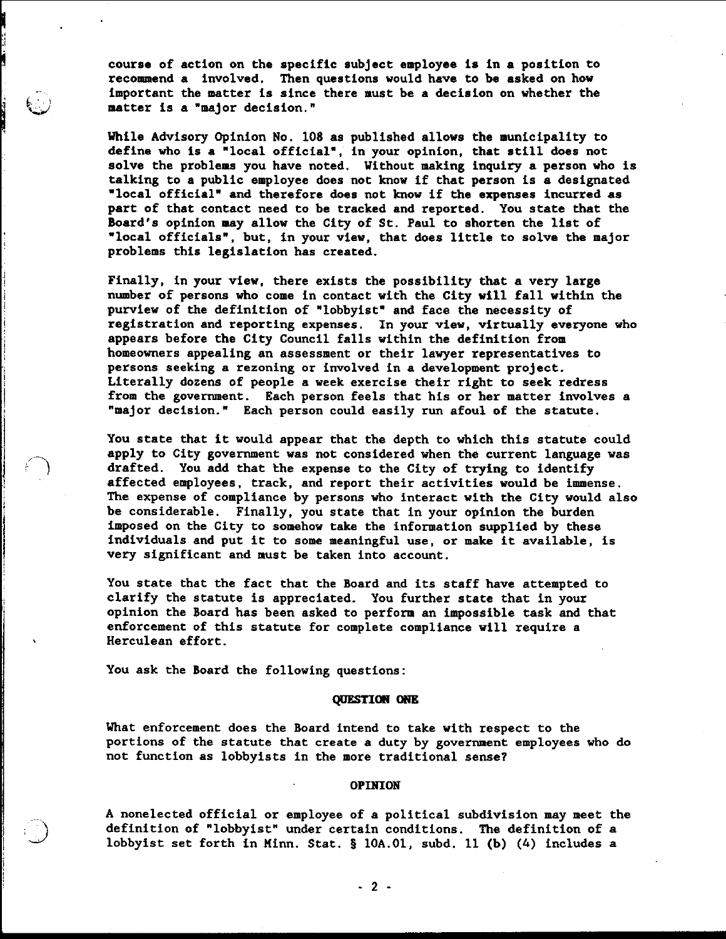course of action on the specific subject employee is in a position to recommend a involved. Then questions would have to be asked on how important the matter is since there must be a decision on whether the matter is a "major decision."

While Advisory Opinion No. 108 as published allows the municipality to define who is a "local official", in your opinion, that still does not solve the problems you have noted. Without making inquiry a person who is talking to a public employee does not know if that person is a designated "local official" and therefore does not know if the expenses incurred as part of that contact need to be tracked and reported. You state that the Board's opinion may allow the City of St. Paul to shorten the list of "local officials", but, in your view, that does little to solve the major problems this legislation has created.

Finally, in your view, there exists the possibility that a very large number of persons who come in contact with the City will fall within the purview of the definition of "lobbyist" and face the necessity of registration and reporting expenses. In your view, virtually everyone who appears before the City Council falls within the definition from homeowners appealing an assessment or their lawyer representatives to persons seeking a rezoning or involved in a development project. Literally dozens of people a week exercise their right to seek redress from the government. Each person feels that his or her matter involves a "major decision." Each person could easily run afoul of the statute.

You state that it would appear that the depth to which this statute could apply to City government was not considered when the current language was drafted. You add that the expense to the City of trying to identify affected employees, track, and report their activities would be immense. The expense of compliance by persons who interact with the City would also be considerable. Finally, you state that in your opinion the burden imposed on the City to somehow take the information supplied by these individuals and put it to some meaningful use, or make it available, is very significant and must be taken into account.

You state that the fact that the Board and its staff have attempted to clarify the statute is appreciated. You further state that in your opinion the Board has been asked to perform an impossible task and that enforcement of this statute for complete compliance will require a Herculean effort.

You ask the Board the following questions:

### QUESTION ONE

What enforcement does the Board intend to take with respect to the portions of the statute that create a duty by government employees who do not function as lobbyists in the more traditional sense?

#### **OPINION**

A nonelected official or employee of a political subdivision may meet the definition of "lobbyist" under certain conditions. The definition of a lobbyist set forth in Minn. Stat. § 10A.01, subd. 11 (b) (4) includes a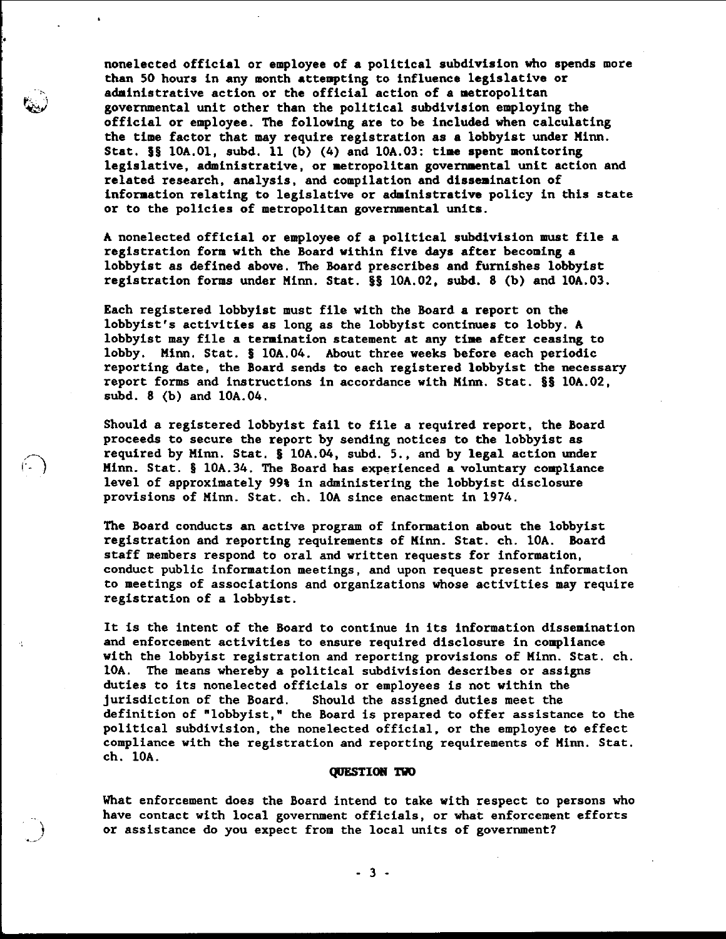nonelected official or employee of a political subdivision who spends more than 50 hours in any month attempting to influence legislative or administrative action or the official action of a metropolitan governmental unit other than the political subdivision employing the official or employee. The following are to be included when calculating the time factor that may require registration as a lobbyist under Minn. Stat.  $\S$ § 10A.01, subd. 11 (b) (4) and 10A.03: time spent monitoring legislative, administrative, or metropolitan governmental unit action and related research, analysis, and compilation and dissemination of information relating to legislative or administrative policy in this state or to the policies of metropolitan governmental units.

A nonelected official or employee of a political subdivision must file a registration form with the Board within five days after becoming a lobbyist as defined above. The Board prescribes and furnishes lobbyist registration forms under Minn. Stat. §§ 10A.02, subd. 8 (b) and 10A.03.

Each registered lobbyist must file with the Board a report on the lobbyist's activities as long as the lobbyist continues to lobby. A lobbyist may file a termination statement at any time after ceasing to lobby. Minn. Stat. § 10A.04. About three weeks before each periodic reporting date, the Board sends to each registered lobbyist the necessary report forms and instructions in accordance with Minn. Stat. §§ 10A.02, subd. 8 (b) and 10A.04.

Should a registered lobbyist fail to file a required report, the Board proceeds to secure the report by sending notices to the lobbyist as required by Minn. Stat. § 10A.04, subd. 5., and by legal action under Minn. Stat. § 10A.34. The Board has experienced a voluntary compliance level of approximately 99% in administering the lobbyist disclosure provisions of Minn. Stat. ch. 10A since enactment in 1974.

The Board conducts an active program of information about the lobbyist registration and reporting requirements of Minn. Stat. ch. 10A. Board staff members respond to oral and written requests for information, conduct public information meetings, and upon request present information to meetings of associations and organizations whose activities may require registration of a lobbyist.

It is the intent of the Board to continue in its information dissemination and enforcement activities to ensure required disclosure in compliance with the lobbyist registration and reporting provisions of Minn. Stat. ch. 10A. The means whereby a political subdivision describes or assigns duties to its nonelected officials or employees is not within the jurisdiction of the Board. Should the assigned duties meet the definition of "lobbyist," the Board is prepared to offer assistance to the political subdivision, the nonelected official, or the employee to effect compliance with the registration and reporting requirements of Minn. Stat. ch. 10A.

### **QUESTION TWO**

What enforcement does the Board intend to take with respect to persons who have contact with local government officials, or what enforcement efforts or assistance do you expect from the local units of government?

 $-3 -$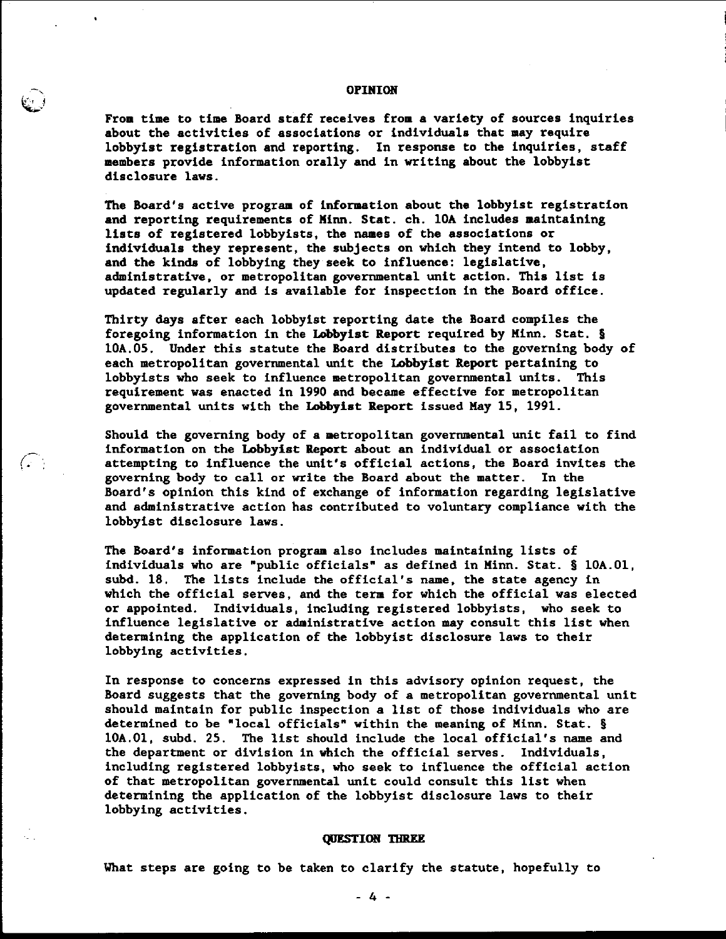### **OPINION**

From time to time Board staff receives from a variety of sources inquiries about the activities of associations or individuals that may require lobbyist registration and reporting. In response to the inquiries, staff members provide information orally and in writing about the lobbyist disclosure laws.

The Board's active program of information about the lobbyist registration and reporting requirements of Minn. Stat. ch. 10A includes maintaining lists of registered lobbyists, the names of the associations or individuals they represent, the subjects on which they intend to lobby, and the kinds of lobbying they seek to influence: legislative, administrative, or metropolitan governmental unit action. This list is updated regularly and is available for inspection in the Board office.

Thirty days after each lobbyist reporting date the Board compiles the foregoing information in the Lobbyist Report required by Minn. Stat. § 10A.05. Under this statute the Board distributes to the governing body of each metropolitan governmental unit the Lobbyist Report pertaining to lobbyists who seek to influence metropolitan governmental units. This requirement was enacted in 1990 and became effective for metropolitan governmental units with the Lobbyist Report issued May 15, 1991.

Should the governing body of a metropolitan governmental unit fail to find information on the Lobbyist Report about an individual or association attempting to influence the unit's official actions, the Board invites the governing body to call or write the Board about the matter. In the Board's opinion this kind of exchange of information regarding legislative and administrative action has contributed to voluntary compliance with the lobbyist disclosure laws.

 $G_{\mathbb{R}}$ 

The Board's information program also includes maintaining lists of individuals who are "public officials" as defined in Minn. Stat. § 10A.01, subd. 18. The lists include the official's name, the state agency in which the official serves, and the term for which the official was elected or appointed. Individuals, including registered lobbyists, who seek to influence legislative or administrative action may consult this list when determining the application of the lobbyist disclosure laws to their lobbying activities.

In response to concerns expressed in this advisory opinion request, the Board suggests that the governing body of a metropolitan governmental unit should maintain for public inspection a list of those individuals who are determined to be "local officials" within the meaning of Minn. Stat. § 10A.01, subd. 25. The list should include the local official's name and the department or division in which the official serves. Individuals, including registered lobbyists, who seek to influence the official action of that metropolitan governmental unit could consult this list when determining the application of the lobbyist disclosure laws to their lobbying activities.

### **QUESTION THREE**

What steps are going to be taken to clarify the statute, hopefully to